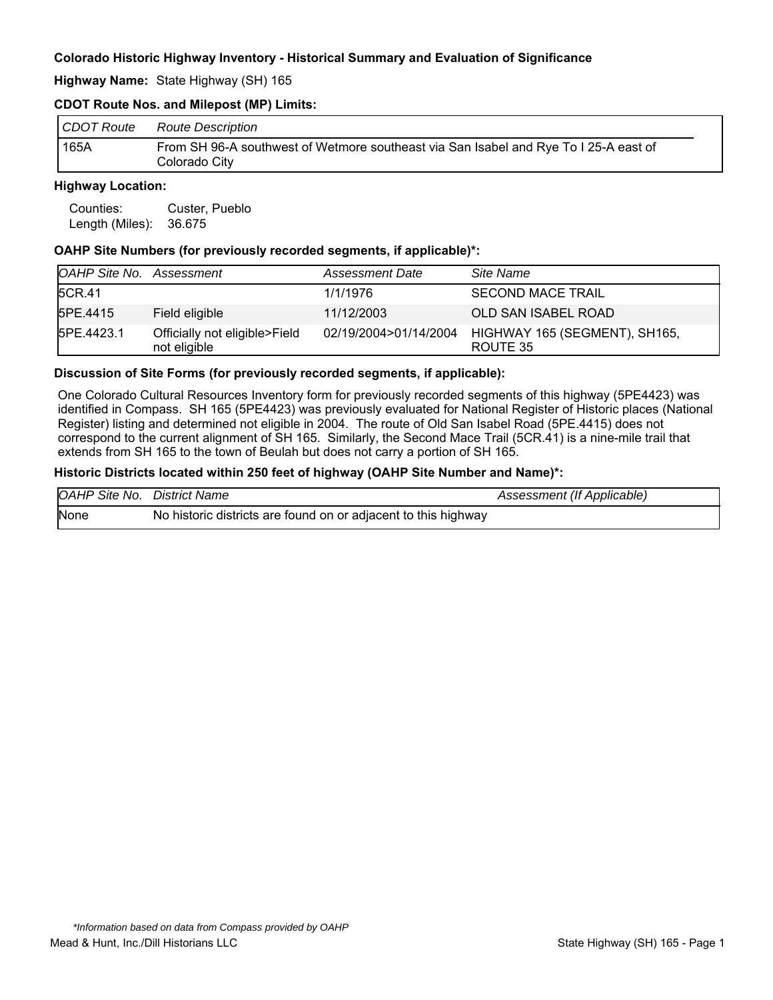#### **Highway Name:** State Highway (SH) 165

### **CDOT Route Nos. and Milepost (MP) Limits:**

| CDOT Route | Route Description                                                                                     |
|------------|-------------------------------------------------------------------------------------------------------|
| 165A       | From SH 96-A southwest of Wetmore southeast via San Isabel and Rye To I 25-A east of<br>Colorado City |

#### **Highway Location:**

| Counties:       | Custer, Pueblo |  |
|-----------------|----------------|--|
| Length (Miles): | 36.675         |  |

#### **OAHP Site Numbers (for previously recorded segments, if applicable)\*:**

| OAHP Site No. Assessment |                                               | <b>Assessment Date</b> | Site Name                                 |
|--------------------------|-----------------------------------------------|------------------------|-------------------------------------------|
| 5CR.41                   |                                               | 1/1/1976               | <b>SECOND MACE TRAIL</b>                  |
| 5PE.4415                 | Field eligible                                | 11/12/2003             | OLD SAN ISABEL ROAD                       |
| 5PE.4423.1               | Officially not eligible>Field<br>not eligible | 02/19/2004>01/14/2004  | HIGHWAY 165 (SEGMENT), SH165,<br>ROUTE 35 |

#### **Discussion of Site Forms (for previously recorded segments, if applicable):**

One Colorado Cultural Resources Inventory form for previously recorded segments of this highway (5PE4423) was identified in Compass. SH 165 (5PE4423) was previously evaluated for National Register of Historic places (National Register) listing and determined not eligible in 2004. The route of Old San Isabel Road (5PE.4415) does not correspond to the current alignment of SH 165. Similarly, the Second Mace Trail (5CR.41) is a nine-mile trail that extends from SH 165 to the town of Beulah but does not carry a portion of SH 165.

#### **Historic Districts located within 250 feet of highway (OAHP Site Number and Name)\*:**

| OAHP Site No. District Name |                                                                | Assessment (If Applicable) |
|-----------------------------|----------------------------------------------------------------|----------------------------|
| None                        | No historic districts are found on or adjacent to this highway |                            |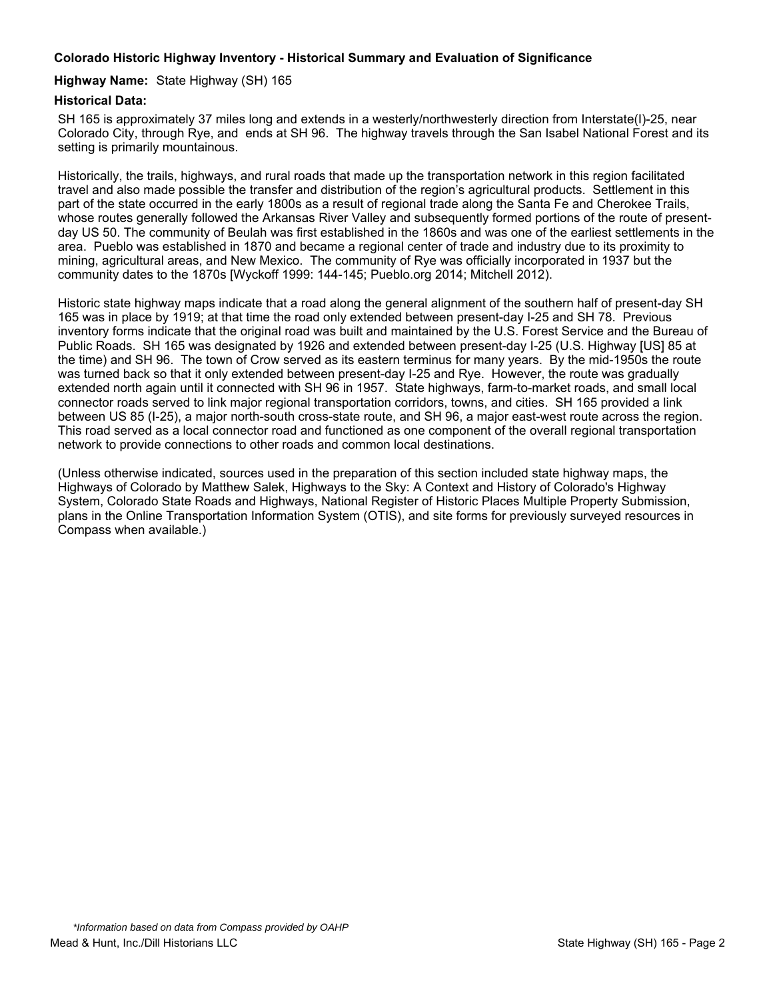### **Highway Name:** State Highway (SH) 165

### **Historical Data:**

SH 165 is approximately 37 miles long and extends in a westerly/northwesterly direction from Interstate(I)-25, near Colorado City, through Rye, and ends at SH 96. The highway travels through the San Isabel National Forest and its setting is primarily mountainous.

Historically, the trails, highways, and rural roads that made up the transportation network in this region facilitated travel and also made possible the transfer and distribution of the region's agricultural products. Settlement in this part of the state occurred in the early 1800s as a result of regional trade along the Santa Fe and Cherokee Trails, whose routes generally followed the Arkansas River Valley and subsequently formed portions of the route of presentday US 50. The community of Beulah was first established in the 1860s and was one of the earliest settlements in the area. Pueblo was established in 1870 and became a regional center of trade and industry due to its proximity to mining, agricultural areas, and New Mexico. The community of Rye was officially incorporated in 1937 but the community dates to the 1870s [Wyckoff 1999: 144-145; Pueblo.org 2014; Mitchell 2012).

Historic state highway maps indicate that a road along the general alignment of the southern half of present-day SH 165 was in place by 1919; at that time the road only extended between present-day I-25 and SH 78. Previous inventory forms indicate that the original road was built and maintained by the U.S. Forest Service and the Bureau of Public Roads. SH 165 was designated by 1926 and extended between present-day I-25 (U.S. Highway [US] 85 at the time) and SH 96. The town of Crow served as its eastern terminus for many years. By the mid-1950s the route was turned back so that it only extended between present-day I-25 and Rye. However, the route was gradually extended north again until it connected with SH 96 in 1957. State highways, farm-to-market roads, and small local connector roads served to link major regional transportation corridors, towns, and cities. SH 165 provided a link between US 85 (I-25), a major north-south cross-state route, and SH 96, a major east-west route across the region. This road served as a local connector road and functioned as one component of the overall regional transportation network to provide connections to other roads and common local destinations.

(Unless otherwise indicated, sources used in the preparation of this section included state highway maps, the Highways of Colorado by Matthew Salek, Highways to the Sky: A Context and History of Colorado's Highway System, Colorado State Roads and Highways, National Register of Historic Places Multiple Property Submission, plans in the Online Transportation Information System (OTIS), and site forms for previously surveyed resources in Compass when available.)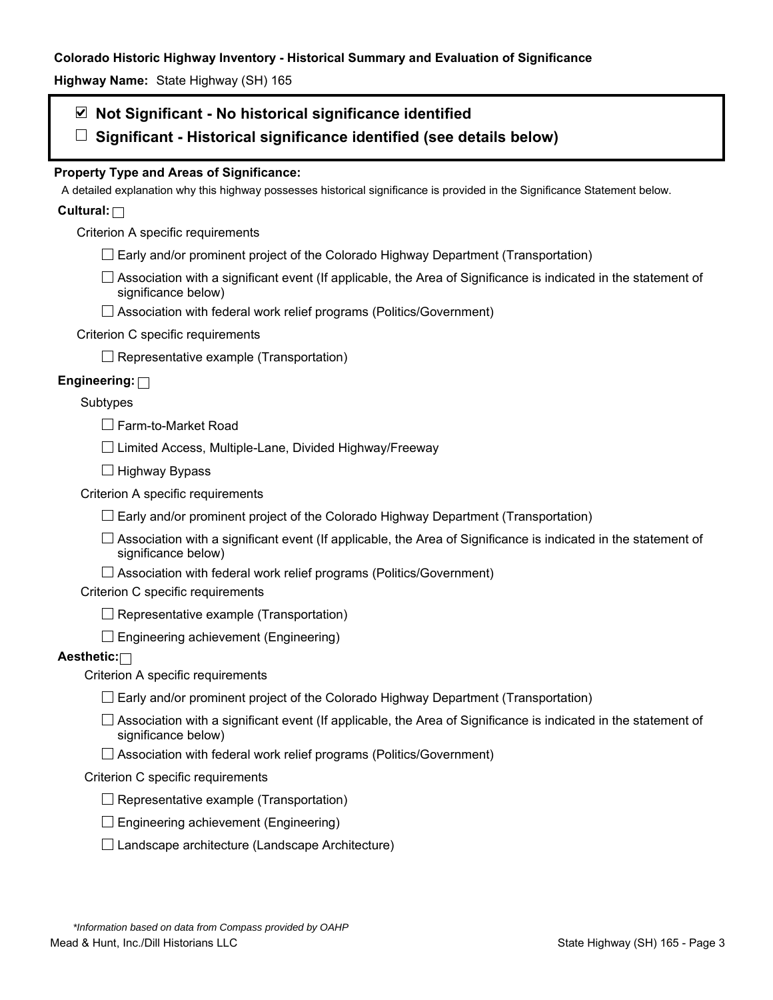**Highway Name:** State Highway (SH) 165

# **Not Significant - No historical significance identified**

**Significant - Historical significance identified (see details below)** 

# **Property Type and Areas of Significance:**

A detailed explanation why this highway possesses historical significance is provided in the Significance Statement below.

# **Cultural:**

Criterion A specific requirements

- $\Box$  Early and/or prominent project of the Colorado Highway Department (Transportation)
- $\Box$  Association with a significant event (If applicable, the Area of Significance is indicated in the statement of significance below)
- □ Association with federal work relief programs (Politics/Government)

### Criterion C specific requirements

 $\Box$  Representative example (Transportation)

# **Engineering:**

### Subtypes

Farm-to-Market Road

 $\Box$  Limited Access, Multiple-Lane, Divided Highway/Freeway

 $\Box$  Highway Bypass

Criterion A specific requirements

 $\Box$  Early and/or prominent project of the Colorado Highway Department (Transportation)

 $\Box$  Association with a significant event (If applicable, the Area of Significance is indicated in the statement of significance below)

 $\Box$  Association with federal work relief programs (Politics/Government)

Criterion C specific requirements

 $\Box$  Representative example (Transportation)

 $\Box$  Engineering achievement (Engineering)

# **Aesthetic:**

Criterion A specific requirements

- $\Box$  Early and/or prominent project of the Colorado Highway Department (Transportation)
- $\Box$  Association with a significant event (If applicable, the Area of Significance is indicated in the statement of significance below)
- $\Box$  Association with federal work relief programs (Politics/Government)

### Criterion C specific requirements

- $\Box$  Representative example (Transportation)
- $\square$  Engineering achievement (Engineering)
- $\square$  Landscape architecture (Landscape Architecture)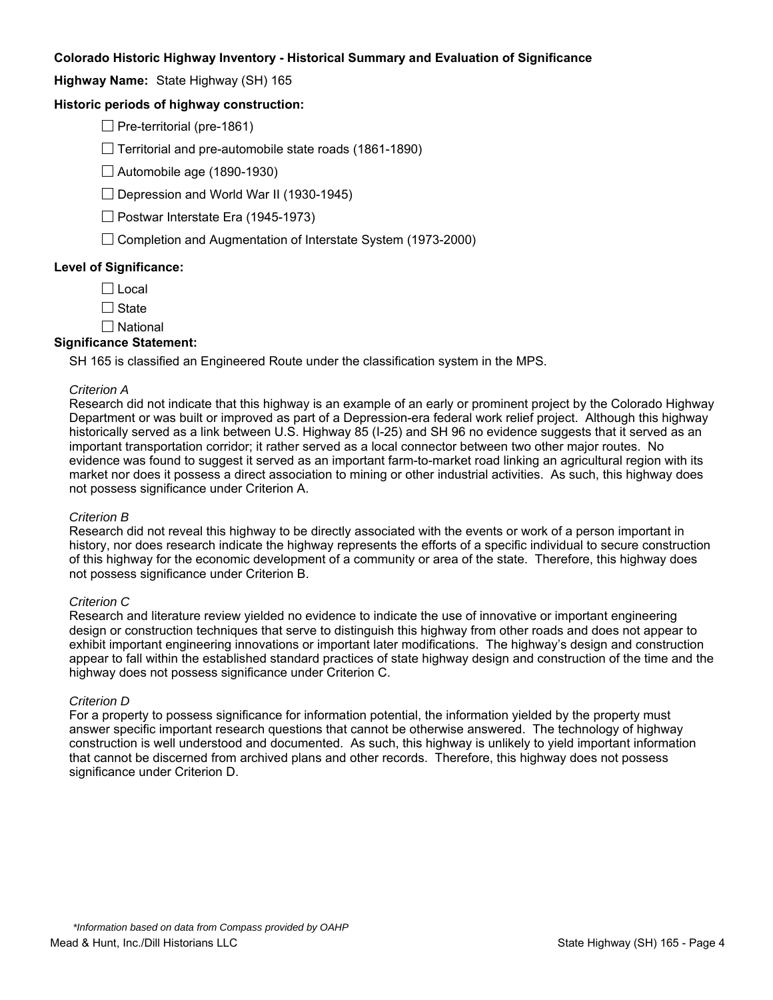**Highway Name:** State Highway (SH) 165

### **Historic periods of highway construction:**

 $\Box$  Pre-territorial (pre-1861)

 $\Box$  Territorial and pre-automobile state roads (1861-1890)

 $\Box$  Automobile age (1890-1930)

 $\Box$  Depression and World War II (1930-1945)

 $\Box$  Postwar Interstate Era (1945-1973)

 $\Box$  Completion and Augmentation of Interstate System (1973-2000)

### **Level of Significance:**

 $\Box$  Local

 $\Box$  State

 $\square$  National

#### **Significance Statement:**

SH 165 is classified an Engineered Route under the classification system in the MPS.

#### *Criterion A*

Research did not indicate that this highway is an example of an early or prominent project by the Colorado Highway Department or was built or improved as part of a Depression-era federal work relief project. Although this highway historically served as a link between U.S. Highway 85 (I-25) and SH 96 no evidence suggests that it served as an important transportation corridor; it rather served as a local connector between two other major routes. No evidence was found to suggest it served as an important farm-to-market road linking an agricultural region with its market nor does it possess a direct association to mining or other industrial activities. As such, this highway does not possess significance under Criterion A.

#### *Criterion B*

Research did not reveal this highway to be directly associated with the events or work of a person important in history, nor does research indicate the highway represents the efforts of a specific individual to secure construction of this highway for the economic development of a community or area of the state. Therefore, this highway does not possess significance under Criterion B.

#### *Criterion C*

Research and literature review yielded no evidence to indicate the use of innovative or important engineering design or construction techniques that serve to distinguish this highway from other roads and does not appear to exhibit important engineering innovations or important later modifications. The highway's design and construction appear to fall within the established standard practices of state highway design and construction of the time and the highway does not possess significance under Criterion C.

#### *Criterion D*

For a property to possess significance for information potential, the information yielded by the property must answer specific important research questions that cannot be otherwise answered. The technology of highway construction is well understood and documented. As such, this highway is unlikely to yield important information that cannot be discerned from archived plans and other records. Therefore, this highway does not possess significance under Criterion D.